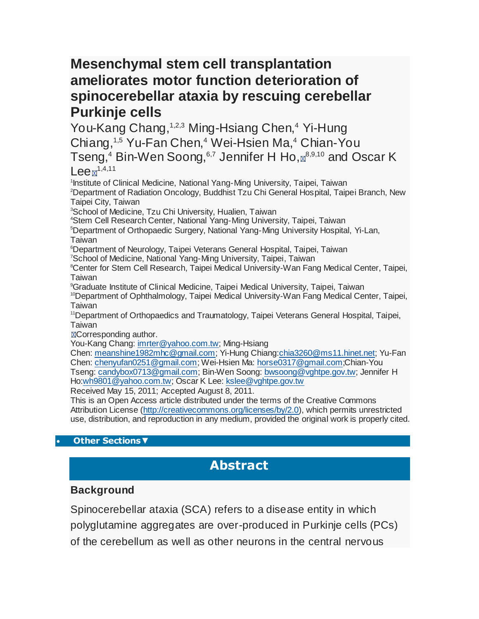# **Mesenchymal stem cell transplantation ameliorates motor function deterioration of spinocerebellar ataxia by rescuing cerebellar Purkinje cells**

You-Kang Chang, <sup>1,2,3</sup> Ming-Hsiang Chen, <sup>4</sup> Yi-Hung Chiang,<sup>1,5</sup> Yu-Fan Chen,<sup>4</sup> Wei-Hsien Ma,<sup>4</sup> Chian-You Tseng,<sup>4</sup> Bin-Wen Soong,  $6,7$  Jennifer H Ho,  $\mathbb{R}^{8,9,10}$  and Oscar K  $Lee$   $\mathbb{Z}^{1,4,11}$ 

1 Institute of Clinical Medicine, National Yang-Ming University, Taipei, Taiwan <sup>2</sup>Department of Radiation Oncology, Buddhist Tzu Chi General Hospital, Taipei Branch, New Taipei City, Taiwan <sup>3</sup>School of Medicine, Tzu Chi University, Hualien, Taiwan <sup>4</sup>Stem Cell Research Center, National Yang-Ming University, Taipei, Taiwan <sup>5</sup>Department of Orthopaedic Surgery, National Yang-Ming University Hospital, Yi-Lan, Taiwan <sup>6</sup>Department of Neurology, Taipei Veterans General Hospital, Taipei, Taiwan <sup>7</sup>School of Medicine, National Yang-Ming University, Taipei, Taiwan <sup>8</sup>Center for Stem Cell Research, Taipei Medical University-Wan Fang Medical Center, Taipei, **Taiwan** <sup>9</sup>Graduate Institute of Clinical Medicine, Taipei Medical University, Taipei, Taiwan <sup>10</sup>Department of Ophthalmology, Taipei Medical University-Wan Fang Medical Center, Taipei, Taiwan <sup>11</sup>Department of Orthopaedics and Traumatology, Taipei Veterans General Hospital, Taipei, Taiwan **ECorresponding author.** You-Kang Chang: [imrter@yahoo.com.tw;](mailto:imrter@yahoo.com.tw) Ming-Hsiang Chen: [meanshine1982mhc@gmail.com;](mailto:meanshine1982mhc@gmail.com) Yi-Hung Chiang[:chia3260@ms11.hinet.net;](mailto:chia3260@ms11.hinet.net) Yu-Fan Chen: [chenyufan0251@gmail.com;](mailto:chenyufan0251@gmail.com) Wei-Hsien Ma: [horse0317@gmail.com;](mailto:horse0317@gmail.com)Chian-You Tseng: [candybox0713@gmail.com;](mailto:candybox0713@gmail.com) Bin-Wen Soong: [bwsoong@vghtpe.gov.tw;](mailto:bwsoong@vghtpe.gov.tw) Jennifer H Ho[:wh9801@yahoo.com.tw;](mailto:wh9801@yahoo.com.tw) Oscar K Lee: [kslee@vghtpe.gov.tw](mailto:kslee@vghtpe.gov.tw)

Received May 15, 2011; Accepted August 8, 2011.

This is an Open Access article distributed under the terms of the Creative Commons Attribution License [\(http://creativecommons.org/licenses/by/2.0\)](http://creativecommons.org/licenses/by/2.0), which permits unrestricted use, distribution, and reproduction in any medium, provided the original work is properly cited.

#### **[Other Sections](http://www.ncbi.nlm.nih.gov/pmc/articles/PMC3174876/?tool=pubmed)▼**

## **Abstract**

#### **Background**

Spinocerebellar ataxia (SCA) refers to a disease entity in which polyglutamine aggregates are over-produced in Purkinje cells (PCs) of the cerebellum as well as other neurons in the central nervous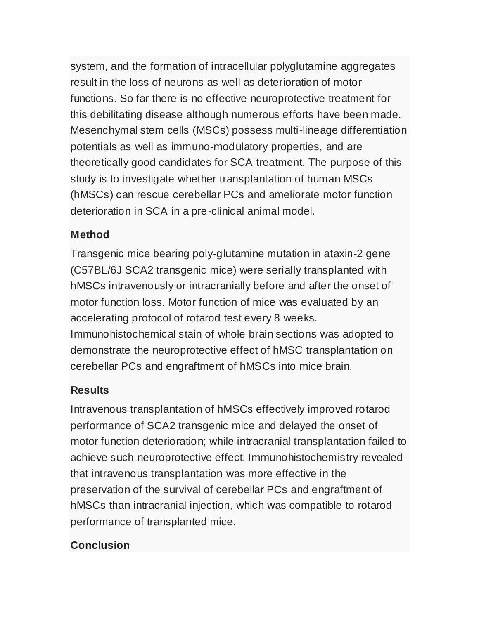system, and the formation of intracellular polyglutamine aggregates result in the loss of neurons as well as deterioration of motor functions. So far there is no effective neuroprotective treatment for this debilitating disease although numerous efforts have been made. Mesenchymal stem cells (MSCs) possess multi-lineage differentiation potentials as well as immuno-modulatory properties, and are theoretically good candidates for SCA treatment. The purpose of this study is to investigate whether transplantation of human MSCs (hMSCs) can rescue cerebellar PCs and ameliorate motor function deterioration in SCA in a pre-clinical animal model.

#### **Method**

Transgenic mice bearing poly-glutamine mutation in ataxin-2 gene (C57BL/6J SCA2 transgenic mice) were serially transplanted with hMSCs intravenously or intracranially before and after the onset of motor function loss. Motor function of mice was evaluated by an accelerating protocol of rotarod test every 8 weeks. Immunohistochemical stain of whole brain sections was adopted to demonstrate the neuroprotective effect of hMSC transplantation on

cerebellar PCs and engraftment of hMSCs into mice brain.

### **Results**

Intravenous transplantation of hMSCs effectively improved rotarod performance of SCA2 transgenic mice and delayed the onset of motor function deterioration; while intracranial transplantation failed to achieve such neuroprotective effect. Immunohistochemistry revealed that intravenous transplantation was more effective in the preservation of the survival of cerebellar PCs and engraftment of hMSCs than intracranial injection, which was compatible to rotarod performance of transplanted mice.

### **Conclusion**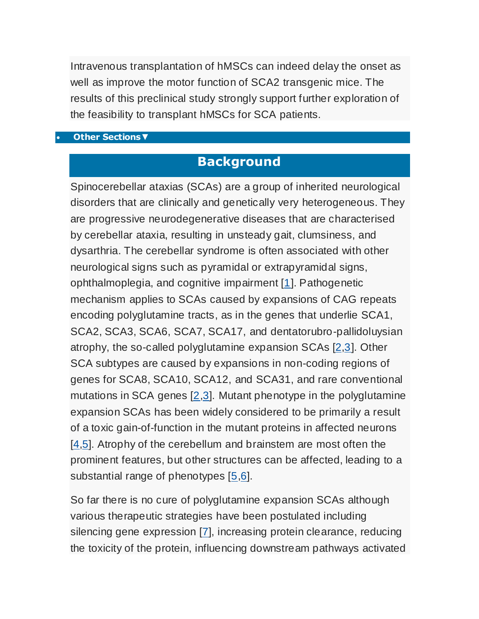Intravenous transplantation of hMSCs can indeed delay the onset as well as improve the motor function of SCA2 transgenic mice. The results of this preclinical study strongly support further exploration of the feasibility to transplant hMSCs for SCA patients.

#### **[Other Sections](http://www.ncbi.nlm.nih.gov/pmc/articles/PMC3174876/?tool=pubmed)▼**

## **Background**

Spinocerebellar ataxias (SCAs) are a group of inherited neurological disorders that are clinically and genetically very heterogeneous. They are progressive neurodegenerative diseases that are characterised by cerebellar ataxia, resulting in unsteady gait, clumsiness, and dysarthria. The cerebellar syndrome is often associated with other neurological signs such as pyramidal or extrapyramidal signs, ophthalmoplegia, and cognitive impairment [\[1\]](http://www.ncbi.nlm.nih.gov/pmc/articles/PMC3174876/?tool=pubmed#B1). Pathogenetic mechanism applies to SCAs caused by expansions of CAG repeats encoding polyglutamine tracts, as in the genes that underlie SCA1, SCA2, SCA3, SCA6, SCA7, SCA17, and dentatorubro-pallidoluysian atrophy, the so-called polyglutamine expansion SCAs [\[2,](http://www.ncbi.nlm.nih.gov/pubmed/20723845)[3\]](http://www.ncbi.nlm.nih.gov/pubmed/17620880). Other SCA subtypes are caused by expansions in non-coding regions of genes for SCA8, SCA10, SCA12, and SCA31, and rare conventional mutations in SCA genes [\[2](http://www.ncbi.nlm.nih.gov/pubmed/20723845)[,3\]](http://www.ncbi.nlm.nih.gov/pubmed/17620880). Mutant phenotype in the polyglutamine expansion SCAs has been widely considered to be primarily a result of a toxic gain-of-function in the mutant proteins in affected neurons [\[4](http://www.ncbi.nlm.nih.gov/pubmed/18418676)[,5\]](http://www.ncbi.nlm.nih.gov/pubmed/17786457). Atrophy of the cerebellum and brainstem are most often the prominent features, but other structures can be affected, leading to a substantial range of phenotypes [\[5](http://www.ncbi.nlm.nih.gov/pubmed/17786457)[,6\]](http://www.ncbi.nlm.nih.gov/pubmed/15263894).

So far there is no cure of polyglutamine expansion SCAs although various therapeutic strategies have been postulated including silencing gene expression [\[7\]](http://www.ncbi.nlm.nih.gov/pubmed/19044200), increasing protein clearance, reducing the toxicity of the protein, influencing downstream pathways activated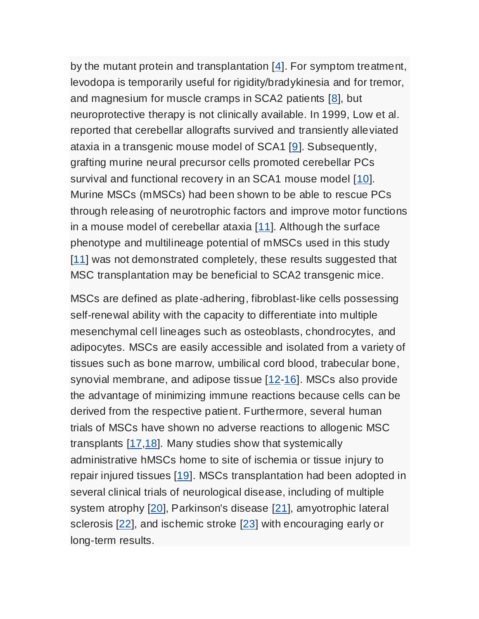by the mutant protein and transplantation [\[4\]](http://www.ncbi.nlm.nih.gov/pubmed/18418676). For symptom treatment, levodopa is temporarily useful for rigidity/bradykinesia and for tremor, and magnesium for muscle cramps in SCA2 patients [\[8\]](http://www.ncbi.nlm.nih.gov/pubmed/18418684), but neuroprotective therapy is not clinically available. In 1999, Low et al. reported that cerebellar allografts survived and transiently alleviated ataxia in a transgenic mouse model of SCA1 [\[9\]](http://www.ncbi.nlm.nih.gov/pubmed/10415138). Subsequently, grafting murine neural precursor cells promoted cerebellar PCs survival and functional recovery in an SCA1 mouse model [\[10\]](http://www.ncbi.nlm.nih.gov/pubmed/19846700). Murine MSCs (mMSCs) had been shown to be able to rescue PCs through releasing of neurotrophic factors and improve motor functions in a mouse model of cerebellar ataxia [\[11\]](http://www.ncbi.nlm.nih.gov/pubmed/20638477). Although the surface phenotype and multilineage potential of mMSCs used in this study [\[11\]](http://www.ncbi.nlm.nih.gov/pubmed/20638477) was not demonstrated completely, these results suggested that MSC transplantation may be beneficial to SCA2 transgenic mice.

MSCs are defined as plate-adhering, fibroblast-like cells possessing self-renewal ability with the capacity to differentiate into multiple mesenchymal cell lineages such as osteoblasts, chondrocytes, and adipocytes. MSCs are easily accessible and isolated from a variety of tissues such as bone marrow, umbilical cord blood, trabecular bone, synovial membrane, and adipose tissue [\[12-](http://www.ncbi.nlm.nih.gov/pubmed/10102814)[16\]](http://www.ncbi.nlm.nih.gov/pubmed/12475952). MSCs also provide the advantage of minimizing immune reactions because cells can be derived from the respective patient. Furthermore, several human trials of MSCs have shown no adverse reactions to allogenic MSC transplants [\[17](http://www.ncbi.nlm.nih.gov/pubmed/17252011)[,18\]](http://www.ncbi.nlm.nih.gov/pubmed/16633360). Many studies show that systemically administrative hMSCs home to site of ischemia or tissue injury to repair injured tissues [\[19\]](http://www.ncbi.nlm.nih.gov/pubmed/20525442). MSCs transplantation had been adopted in several clinical trials of neurological disease, including of multiple system atrophy [\[20\]](http://www.ncbi.nlm.nih.gov/pubmed/17898702), Parkinson's disease [\[21\]](http://www.ncbi.nlm.nih.gov/pubmed/20129486), amyotrophic lateral sclerosis [\[22\]](http://www.ncbi.nlm.nih.gov/pubmed/19682989), and ischemic stroke [\[23\]](http://www.ncbi.nlm.nih.gov/pubmed/20506226) with encouraging early or long-term results.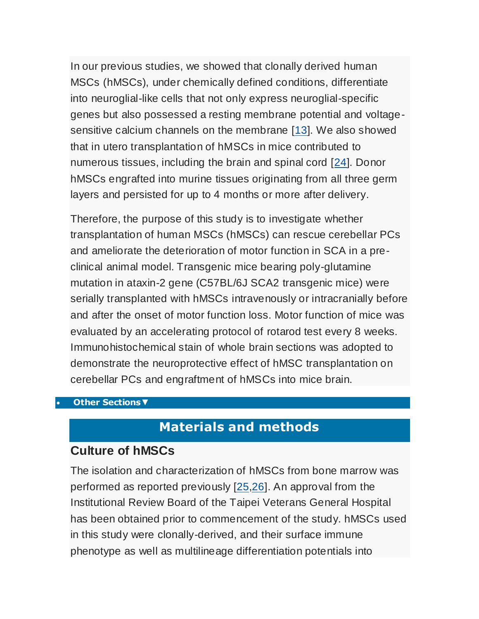In our previous studies, we showed that clonally derived human MSCs (hMSCs), under chemically defined conditions, differentiate into neuroglial-like cells that not only express neuroglial-specific genes but also possessed a resting membrane potential and voltagesensitive calcium channels on the membrane [\[13\]](http://www.ncbi.nlm.nih.gov/pubmed/14576065). We also showed that in utero transplantation of hMSCs in mice contributed to numerous tissues, including the brain and spinal cord [\[24\]](http://www.ncbi.nlm.nih.gov/pubmed/16482576). Donor hMSCs engrafted into murine tissues originating from all three germ layers and persisted for up to 4 months or more after delivery.

Therefore, the purpose of this study is to investigate whether transplantation of human MSCs (hMSCs) can rescue cerebellar PCs and ameliorate the deterioration of motor function in SCA in a preclinical animal model. Transgenic mice bearing poly-glutamine mutation in ataxin-2 gene (C57BL/6J SCA2 transgenic mice) were serially transplanted with hMSCs intravenously or intracranially before and after the onset of motor function loss. Motor function of mice was evaluated by an accelerating protocol of rotarod test every 8 weeks. Immunohistochemical stain of whole brain sections was adopted to demonstrate the neuroprotective effect of hMSC transplantation on cerebellar PCs and engraftment of hMSCs into mice brain.

#### **[Other Sections](http://www.ncbi.nlm.nih.gov/pmc/articles/PMC3174876/?tool=pubmed)▼**

### **Materials and methods**

#### **Culture of hMSCs**

The isolation and characterization of hMSCs from bone marrow was performed as reported previously [\[25](http://www.ncbi.nlm.nih.gov/pubmed/15562440)[,26\]](http://www.ncbi.nlm.nih.gov/pubmed/15389871). An approval from the Institutional Review Board of the Taipei Veterans General Hospital has been obtained prior to commencement of the study. hMSCs used in this study were clonally-derived, and their surface immune phenotype as well as multilineage differentiation potentials into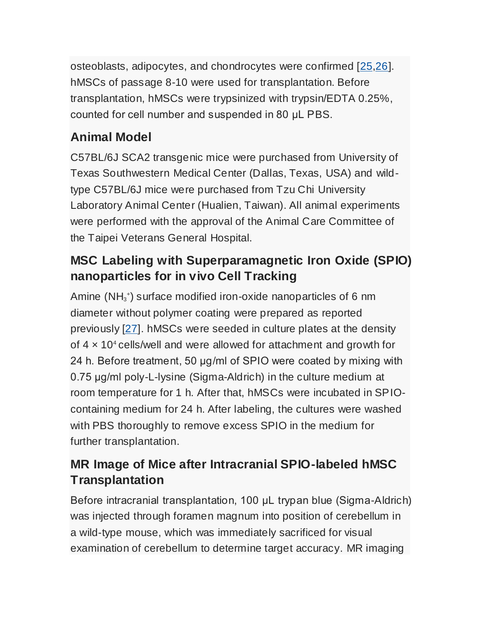osteoblasts, adipocytes, and chondrocytes were confirmed [\[25,](http://www.ncbi.nlm.nih.gov/pubmed/15562440)[26\]](http://www.ncbi.nlm.nih.gov/pubmed/15389871). hMSCs of passage 8-10 were used for transplantation. Before transplantation, hMSCs were trypsinized with trypsin/EDTA 0.25%, counted for cell number and suspended in 80 μL PBS.

# **Animal Model**

C57BL/6J SCA2 transgenic mice were purchased from University of Texas Southwestern Medical Center (Dallas, Texas, USA) and wildtype C57BL/6J mice were purchased from Tzu Chi University Laboratory Animal Center (Hualien, Taiwan). All animal experiments were performed with the approval of the Animal Care Committee of the Taipei Veterans General Hospital.

# **MSC Labeling with Superparamagnetic Iron Oxide (SPIO) nanoparticles for in vivo Cell Tracking**

Amine  $(NH_3^*)$  surface modified iron-oxide nanoparticles of 6 nm diameter without polymer coating were prepared as reported previously [\[27\]](http://www.ncbi.nlm.nih.gov/pubmed/15964622). hMSCs were seeded in culture plates at the density of  $4 \times 10^4$  cells/well and were allowed for attachment and growth for 24 h. Before treatment, 50 μg/ml of SPIO were coated by mixing with 0.75 μg/ml poly-L-lysine (Sigma-Aldrich) in the culture medium at room temperature for 1 h. After that, hMSCs were incubated in SPIOcontaining medium for 24 h. After labeling, the cultures were washed with PBS thoroughly to remove excess SPIO in the medium for further transplantation.

# **MR Image of Mice after Intracranial SPIO-labeled hMSC Transplantation**

Before intracranial transplantation, 100 μL trypan blue (Sigma-Aldrich) was injected through foramen magnum into position of cerebellum in a wild-type mouse, which was immediately sacrificed for visual examination of cerebellum to determine target accuracy. MR imaging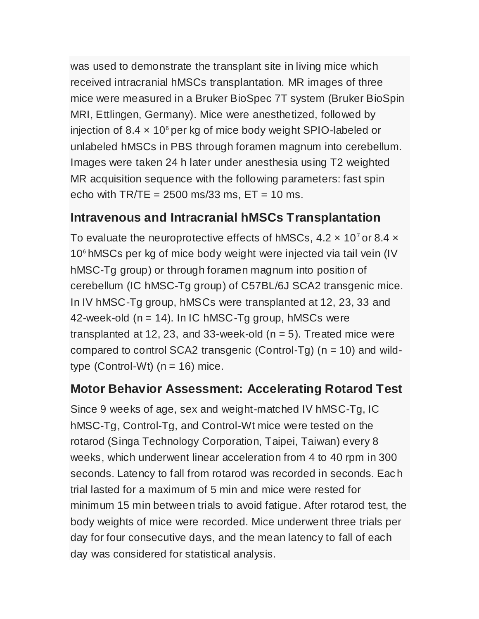was used to demonstrate the transplant site in living mice which received intracranial hMSCs transplantation. MR images of three mice were measured in a Bruker BioSpec 7T system (Bruker BioSpin MRI, Ettlingen, Germany). Mice were anesthetized, followed by injection of 8.4  $\times$  10<sup>6</sup> per kg of mice body weight SPIO-labeled or unlabeled hMSCs in PBS through foramen magnum into cerebellum. Images were taken 24 h later under anesthesia using T2 weighted MR acquisition sequence with the following parameters: fast spin echo with  $TR/TE = 2500$  ms/33 ms,  $ET = 10$  ms.

### **Intravenous and Intracranial hMSCs Transplantation**

To evaluate the neuroprotective effects of hMSCs,  $4.2 \times 10^7$  or 8.4  $\times$ 10<sup>6</sup> hMSCs per kg of mice body weight were injected via tail vein (IV hMSC-Tg group) or through foramen magnum into position of cerebellum (IC hMSC-Tg group) of C57BL/6J SCA2 transgenic mice. In IV hMSC-Tg group, hMSCs were transplanted at 12, 23, 33 and 42-week-old  $(n = 14)$ . In IC hMSC-Tg group, hMSCs were transplanted at 12, 23, and 33-week-old  $(n = 5)$ . Treated mice were compared to control SCA2 transgenic (Control-Tg) ( $n = 10$ ) and wildtype  $(Control-Wt)$   $(n = 16)$  mice.

### **Motor Behavior Assessment: Accelerating Rotarod Test**

Since 9 weeks of age, sex and weight-matched IV hMSC-Tg, IC hMSC-Tg, Control-Tg, and Control-Wt mice were tested on the rotarod (Singa Technology Corporation, Taipei, Taiwan) every 8 weeks, which underwent linear acceleration from 4 to 40 rpm in 300 seconds. Latency to fall from rotarod was recorded in seconds. Eac h trial lasted for a maximum of 5 min and mice were rested for minimum 15 min between trials to avoid fatigue. After rotarod test, the body weights of mice were recorded. Mice underwent three trials per day for four consecutive days, and the mean latency to fall of each day was considered for statistical analysis.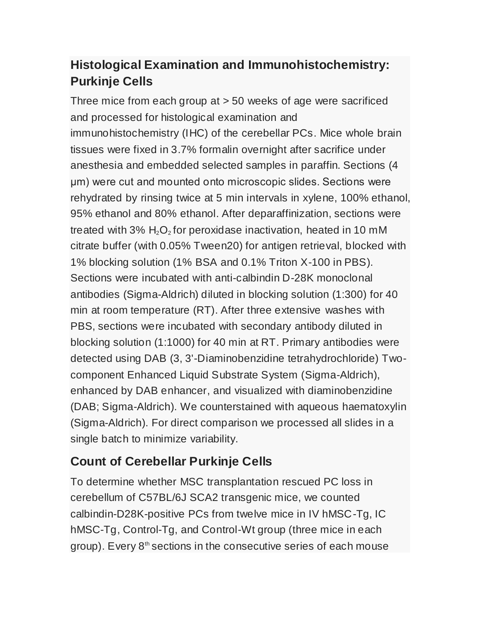# **Histological Examination and Immunohistochemistry: Purkinje Cells**

Three mice from each group at > 50 weeks of age were sacrificed and processed for histological examination and immunohistochemistry (IHC) of the cerebellar PCs. Mice whole brain tissues were fixed in 3.7% formalin overnight after sacrifice under anesthesia and embedded selected samples in paraffin. Sections (4 μm) were cut and mounted onto microscopic slides. Sections were rehydrated by rinsing twice at 5 min intervals in xylene, 100% ethanol, 95% ethanol and 80% ethanol. After deparaffinization, sections were treated with 3%  $H_2O_2$  for peroxidase inactivation, heated in 10 mM citrate buffer (with 0.05% Tween20) for antigen retrieval, blocked with 1% blocking solution (1% BSA and 0.1% Triton X-100 in PBS). Sections were incubated with anti-calbindin D-28K monoclonal antibodies (Sigma-Aldrich) diluted in blocking solution (1:300) for 40 min at room temperature (RT). After three extensive washes with PBS, sections were incubated with secondary antibody diluted in blocking solution (1:1000) for 40 min at RT. Primary antibodies were detected using DAB (3, 3'-Diaminobenzidine tetrahydrochloride) Twocomponent Enhanced Liquid Substrate System (Sigma-Aldrich), enhanced by DAB enhancer, and visualized with diaminobenzidine (DAB; Sigma-Aldrich). We counterstained with aqueous haematoxylin (Sigma-Aldrich). For direct comparison we processed all slides in a single batch to minimize variability.

# **Count of Cerebellar Purkinje Cells**

To determine whether MSC transplantation rescued PC loss in cerebellum of C57BL/6J SCA2 transgenic mice, we counted calbindin-D28K-positive PCs from twelve mice in IV hMSC-Tg, IC hMSC-Tg, Control-Tg, and Control-Wt group (three mice in each group). Every  $8<sup>th</sup>$  sections in the consecutive series of each mouse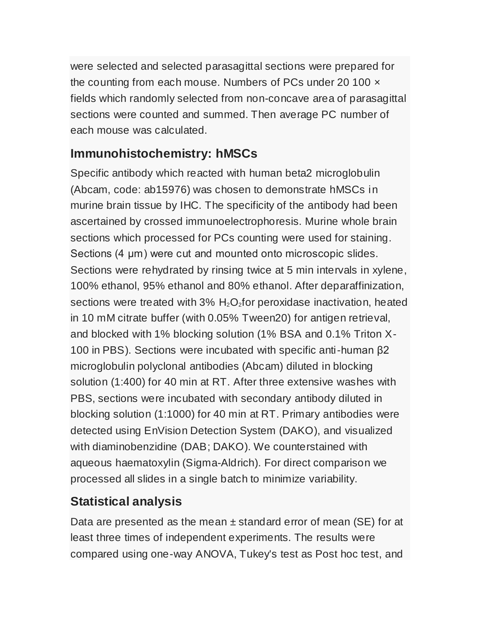were selected and selected parasagittal sections were prepared for the counting from each mouse. Numbers of PCs under 20 100  $\times$ fields which randomly selected from non-concave area of parasagittal sections were counted and summed. Then average PC number of each mouse was calculated.

## **Immunohistochemistry: hMSCs**

Specific antibody which reacted with human beta2 microglobulin (Abcam, code: ab15976) was chosen to demonstrate hMSCs in murine brain tissue by IHC. The specificity of the antibody had been ascertained by crossed immunoelectrophoresis. Murine whole brain sections which processed for PCs counting were used for staining. Sections (4 μm) were cut and mounted onto microscopic slides. Sections were rehydrated by rinsing twice at 5 min intervals in xylene, 100% ethanol, 95% ethanol and 80% ethanol. After deparaffinization, sections were treated with 3%  $H_2O_2$  for peroxidase inactivation, heated in 10 mM citrate buffer (with 0.05% Tween20) for antigen retrieval, and blocked with 1% blocking solution (1% BSA and 0.1% Triton X-100 in PBS). Sections were incubated with specific anti-human β2 microglobulin polyclonal antibodies (Abcam) diluted in blocking solution (1:400) for 40 min at RT. After three extensive washes with PBS, sections were incubated with secondary antibody diluted in blocking solution (1:1000) for 40 min at RT. Primary antibodies were detected using EnVision Detection System (DAKO), and visualized with diaminobenzidine (DAB; DAKO). We counterstained with aqueous haematoxylin (Sigma-Aldrich). For direct comparison we processed all slides in a single batch to minimize variability.

## **Statistical analysis**

Data are presented as the mean  $\pm$  standard error of mean (SE) for at least three times of independent experiments. The results were compared using one-way ANOVA, Tukey's test as Post hoc test, and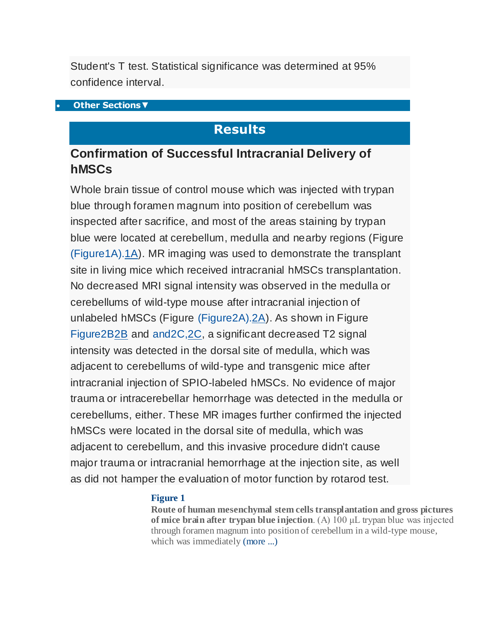Student's T test. Statistical significance was determined at 95% confidence interval.

#### **[Other Sections](http://www.ncbi.nlm.nih.gov/pmc/articles/PMC3174876/?tool=pubmed)▼**

### **Results**

### **Confirmation of Successful Intracranial Delivery of hMSCs**

Whole brain tissue of control mouse which was injected with trypan blue through foramen magnum into position of cerebellum was inspected after sacrifice, and most of the areas staining by trypan blue were located at cerebellum, medulla and nearby regions (Figure [\(Figure1A\).1A\)](http://www.ncbi.nlm.nih.gov/pmc/articles/PMC3174876/figure/F1/). MR imaging was used to demonstrate the transplant site in living mice which received intracranial hMSCs transplantation. No decreased MRI signal intensity was observed in the medulla or cerebellums of wild-type mouse after intracranial injection of unlabeled hMSCs (Figure [\(Figure2A\).2A\)](http://www.ncbi.nlm.nih.gov/pmc/articles/PMC3174876/figure/F2/). As shown in Figure [Figure2B2B](http://www.ncbi.nlm.nih.gov/pmc/articles/PMC3174876/figure/F2/) and [and2C,2C,](http://www.ncbi.nlm.nih.gov/pmc/articles/PMC3174876/figure/F2/) a significant decreased T2 signal intensity was detected in the dorsal site of medulla, which was adjacent to cerebellums of wild-type and transgenic mice after intracranial injection of SPIO-labeled hMSCs. No evidence of major trauma or intracerebellar hemorrhage was detected in the medulla or cerebellums, either. These MR images further confirmed the injected hMSCs were located in the dorsal site of medulla, which was adjacent to cerebellum, and this invasive procedure didn't cause major trauma or intracranial hemorrhage at the injection site, as well as did not hamper the evaluation of motor function by rotarod test.

#### **[Figure 1](http://www.ncbi.nlm.nih.gov/pmc/articles/PMC3174876/figure/F1/)**

**Route of human mesenchymal stem cells transplantation and gross pictures of mice brain after trypan blue injection**. (A) 100 μL trypan blue was injected through foramen magnum into position of cerebellum in a wild-type mouse, which was immediately [\(more ...\)](http://www.ncbi.nlm.nih.gov/pmc/articles/PMC3174876/figure/F1/)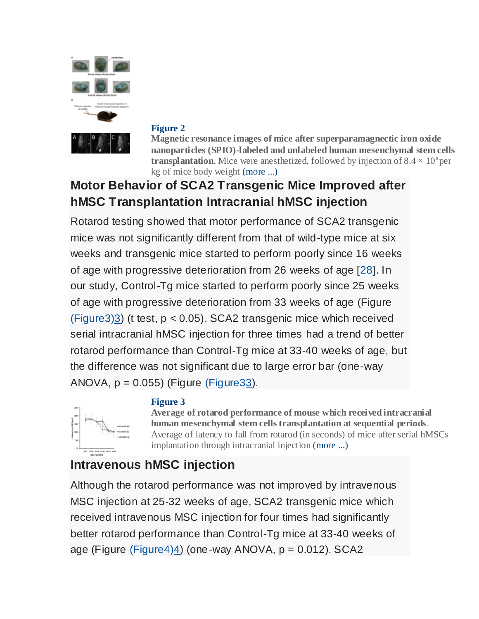

#### **[Figure 2](http://www.ncbi.nlm.nih.gov/pmc/articles/PMC3174876/figure/F2/)**

**[M](http://www.ncbi.nlm.nih.gov/pmc/articles/PMC3174876/figure/F2/)agnetic resonance images of mice after superparamagnectic iron oxide nanoparticles (SPIO)-labeled and unlabeled human mesenchymal stem cells transplantation**. Mice were anesthetized, followed by injection of  $8.4 \times 10^6$  per kg of mice body weight [\(more ...\)](http://www.ncbi.nlm.nih.gov/pmc/articles/PMC3174876/figure/F2/)

# **Motor Behavior of SCA2 Transgenic Mice Improved after hMSC Transplantation Intracranial hMSC injection**

Rotarod testing showed that motor performance of SCA2 transgenic mice was not significantly different from that of wild-type mice at six weeks and transgenic mice started to perform poorly since 16 weeks of age with progressive deterioration from 26 weeks of age [\[28\]](http://www.ncbi.nlm.nih.gov/pubmed/10973246). In our study, Control-Tg mice started to perform poorly since 25 weeks of age with progressive deterioration from 33 weeks of age (Figure [\(Figure3\)3\)](http://www.ncbi.nlm.nih.gov/pmc/articles/PMC3174876/figure/F3/) (t test, p < 0.05). SCA2 transgenic mice which received serial intracranial hMSC injection for three times had a trend of better rotarod performance than Control-Tg mice at 33-40 weeks of age, but the difference was not significant due to large error bar (one-way ANOVA,  $p = 0.055$ ) (Figure (Figure 33).

#### **[Figure 3](http://www.ncbi.nlm.nih.gov/pmc/articles/PMC3174876/figure/F3/)**



**[A](http://www.ncbi.nlm.nih.gov/pmc/articles/PMC3174876/figure/F3/)verage of rotarod performance of mouse which received intracranial human mesenchymal stem cells transplantation at sequential periods**. Average of latency to fall from rotarod (in seconds) of mice after serial hMSCs implantation through intracranial injection [\(more ...\)](http://www.ncbi.nlm.nih.gov/pmc/articles/PMC3174876/figure/F3/)

# **Intravenous hMSC injection**

Although the rotarod performance was not improved by intravenous MSC injection at 25-32 weeks of age, SCA2 transgenic mice which received intravenous MSC injection for four times had significantly better rotarod performance than Control-Tg mice at 33-40 weeks of age (Figure [\(Figure4\)4\)](http://www.ncbi.nlm.nih.gov/pmc/articles/PMC3174876/figure/F4/) (one-way ANOVA, p = 0.012). SCA2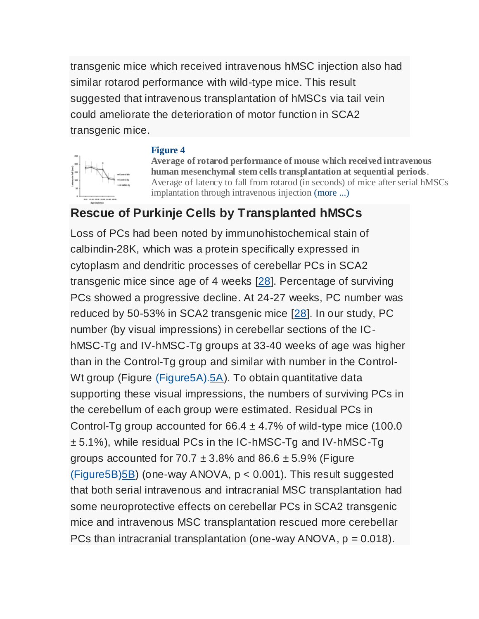transgenic mice which received intravenous hMSC injection also had similar rotarod performance with wild-type mice. This result suggested that intravenous transplantation of hMSCs via tail vein could ameliorate the deterioration of motor function in SCA2 transgenic mice.

### **[Figure 4](http://www.ncbi.nlm.nih.gov/pmc/articles/PMC3174876/figure/F4/)**



**[A](http://www.ncbi.nlm.nih.gov/pmc/articles/PMC3174876/figure/F4/)verage of rotarod performance of mouse which received intravenous human mesenchymal stem cells transplantation at sequential periods**. Average of latency to fall from rotarod (in seconds) of mice after serial hMSCs implantation through intravenous injection [\(more ...\)](http://www.ncbi.nlm.nih.gov/pmc/articles/PMC3174876/figure/F4/)

## **Rescue of Purkinje Cells by Transplanted hMSCs**

Loss of PCs had been noted by immunohistochemical stain of calbindin-28K, which was a protein specifically expressed in cytoplasm and dendritic processes of cerebellar PCs in SCA2 transgenic mice since age of 4 weeks [\[28\]](http://www.ncbi.nlm.nih.gov/pubmed/10973246). Percentage of surviving PCs showed a progressive decline. At 24-27 weeks, PC number was reduced by 50-53% in SCA2 transgenic mice [\[28\]](http://www.ncbi.nlm.nih.gov/pubmed/10973246). In our study, PC number (by visual impressions) in cerebellar sections of the IChMSC-Tg and IV-hMSC-Tg groups at 33-40 weeks of age was higher than in the Control-Tg group and similar with number in the Control-Wt group (Figure [\(Figure5A\).5A\)](http://www.ncbi.nlm.nih.gov/pmc/articles/PMC3174876/figure/F5/). To obtain quantitative data supporting these visual impressions, the numbers of surviving PCs in the cerebellum of each group were estimated. Residual PCs in Control-Tg group accounted for  $66.4 \pm 4.7\%$  of wild-type mice (100.0) ± 5.1%), while residual PCs in the IC-hMSC-Tg and IV-hM[SC-Tg](http://www.ncbi.nlm.nih.gov/pmc/articles/PMC3174876/figure/F5/)  groups accounted for  $70.7 \pm 3.8\%$  and  $86.6 \pm 5.9\%$  (Figure  $(Figure 5B)$  (one-way ANOVA,  $p < 0.001$ ). This result suggested that both serial intravenous and intracranial MSC transplantation had some neuroprotective effects on cerebellar PCs in SCA2 transgenic mice and intravenous MSC transplantation rescued more cerebellar PCs than intracranial transplantation (one-way  $ANOVA$ ,  $p = 0.018$ ).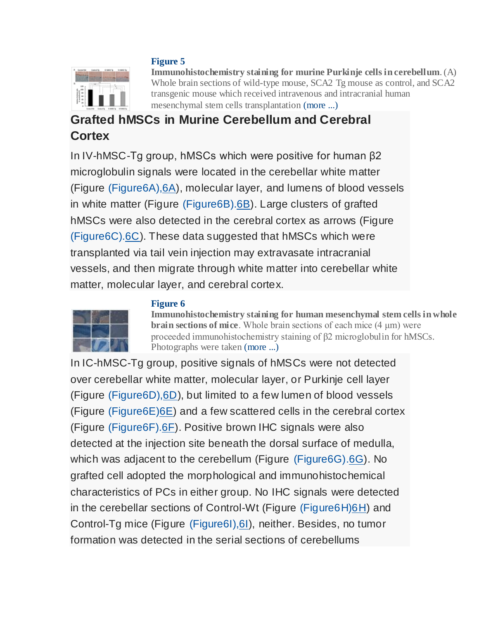#### **[Figure 5](http://www.ncbi.nlm.nih.gov/pmc/articles/PMC3174876/figure/F5/)**



**[I](http://www.ncbi.nlm.nih.gov/pmc/articles/PMC3174876/figure/F5/)mmunohistochemistry staining for murine Purkinje cells in cerebellum**. (A) Whole brain sections of wild-type mouse, SCA2 Tg mouse as control, and SCA2 transgenic mouse which received intravenous and intracranial human mesenchymal stem cells transplantation [\(more ...\)](http://www.ncbi.nlm.nih.gov/pmc/articles/PMC3174876/figure/F5/)

## **Grafted hMSCs in Murine Cerebellum and Cerebral Cortex**

In IV-hMSC-Tg group, hMSCs which were positive for human β2 microglobulin signals were located in the cerebellar white matter (Figure (Figure6A), $6A$ ), molecular layer, and lumens of blood vessels in white matter (Figure [\(Figure6B\).6B\)](http://www.ncbi.nlm.nih.gov/pmc/articles/PMC3174876/figure/F6/). Large clusters of grafted hMSCs were also detected in the cerebral cortex as arrows (Figure [\(Figure6C\).6C\)](http://www.ncbi.nlm.nih.gov/pmc/articles/PMC3174876/figure/F6/). These data suggested that hMSCs which were transplanted via tail vein injection may extravasate intracranial vessels, and then migrate through white matter into cerebellar white matter, molecular layer, and cerebral cortex.



#### **[Figure 6](http://www.ncbi.nlm.nih.gov/pmc/articles/PMC3174876/figure/F6/)**

**[I](http://www.ncbi.nlm.nih.gov/pmc/articles/PMC3174876/figure/F6/)mmunohistochemistry staining for human mesenchymal stem cells in whole brain sections of mice**. Whole brain sections of each mice (4 μm) were proceeded immunohistochemistry staining of β2 microglobulin for hMSCs. Photographs were taken [\(more ...\)](http://www.ncbi.nlm.nih.gov/pmc/articles/PMC3174876/figure/F6/)

In IC-hMSC-Tg group, positive signals of hMSCs were not detected over cerebellar white matter, molecular layer, or Purkinje cell layer (Figure [\(Figure6D\),6D\)](http://www.ncbi.nlm.nih.gov/pmc/articles/PMC3174876/figure/F6/), but limited to a few lumen of blood vessels (Figure [\(Figure6E\)6E\)](http://www.ncbi.nlm.nih.gov/pmc/articles/PMC3174876/figure/F6/) and a few scattered cells in the cerebral cortex (Figure [\(Figure6F\).6F\)](http://www.ncbi.nlm.nih.gov/pmc/articles/PMC3174876/figure/F6/). Positive brown IHC signals were also detected at the injection site beneath the dorsal surface of medulla, which was adjacent to the cerebellum (Figure [\(Figure6G\).6G\)](http://www.ncbi.nlm.nih.gov/pmc/articles/PMC3174876/figure/F6/). No grafted cell adopted the morphological and immunohistochemical characteristics of PCs in either group. No IHC signals were detected in the cerebellar sections of Control-Wt (Figure [\(Figure6H\)6H\)](http://www.ncbi.nlm.nih.gov/pmc/articles/PMC3174876/figure/F6/) and Control-Tg mice (Figure [\(Figure6I\),6I\)](http://www.ncbi.nlm.nih.gov/pmc/articles/PMC3174876/figure/F6/), neither. Besides, no tumor formation was detected in the serial sections of cerebellums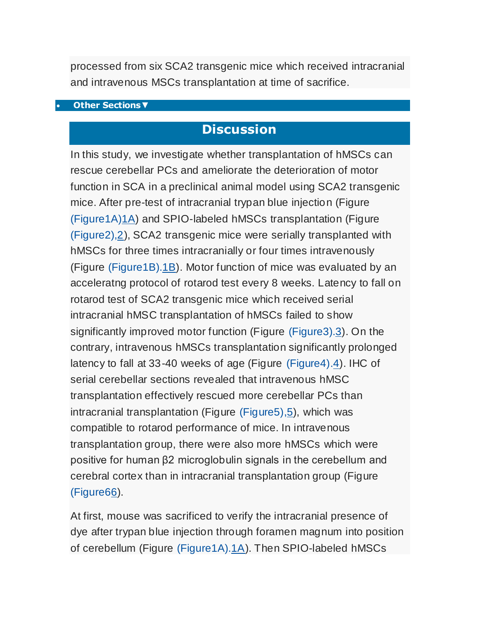processed from six SCA2 transgenic mice which received intracranial and intravenous MSCs transplantation at time of sacrifice.

#### **[Other Sections](http://www.ncbi.nlm.nih.gov/pmc/articles/PMC3174876/?tool=pubmed)▼**

## **Discussion**

In this study, we investigate whether transplantation of hMSCs can rescue cerebellar PCs and ameliorate the deterioration of motor function in SCA in a preclinical animal model using SCA2 transgenic mice. After pre-test of intracranial trypan blue injection (Figure [\(Figure1A\)1A\)](http://www.ncbi.nlm.nih.gov/pmc/articles/PMC3174876/figure/F1/) and SPIO-labeled hMSCs transplantation (Figure [\(Figure2\),2\)](http://www.ncbi.nlm.nih.gov/pmc/articles/PMC3174876/figure/F2/), SCA2 transgenic mice were serially transplanted with hMSCs for three times intracranially or four times intravenously (Figure [\(Figure1B\).1B\)](http://www.ncbi.nlm.nih.gov/pmc/articles/PMC3174876/figure/F1/). Motor function of mice was evaluated by an acceleratng protocol of rotarod test every 8 weeks. Latency to fall on rotarod test of SCA2 transgenic mice which received serial intracranial hMSC transplantation of hMSCs failed to show significantly improved motor function (Figure [\(Figure3\).3\)](http://www.ncbi.nlm.nih.gov/pmc/articles/PMC3174876/figure/F3/). On the contrary, intravenous hMSCs transplantation significantly prolonged latency to fall at 33-40 weeks of age (Figure [\(Figure4\).4\)](http://www.ncbi.nlm.nih.gov/pmc/articles/PMC3174876/figure/F4/). IHC of serial cerebellar sections revealed that intravenous hMSC transplantation effectively rescued more cerebellar PCs than intracranial transplantation (Figure [\(Figure5\),5\)](http://www.ncbi.nlm.nih.gov/pmc/articles/PMC3174876/figure/F5/), which was compatible to rotarod performance of mice. In intravenous transplantation group, there were also more hMSCs which were positive for human β2 microglobulin signals in the cerebellum and cerebral cortex than in intracranial transplantation group (Figure  $(Figure66)$ .

At first, mouse was sacrificed to verify the intracranial presence of dye after trypan blue injection through foramen magnum into position of cerebellum (Figure [\(Figure1A\).1A\)](http://www.ncbi.nlm.nih.gov/pmc/articles/PMC3174876/figure/F1/). Then SPIO-labeled hMSCs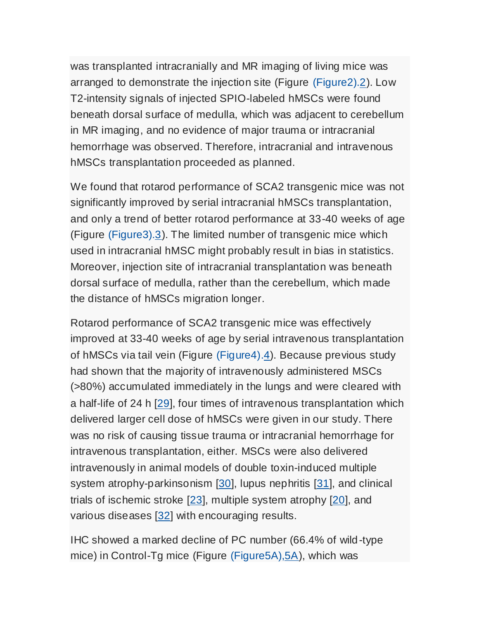was transplanted intracranially and MR imaging of living mice was arranged to demonstrate the injection site (Figure [\(Figure2\).2\)](http://www.ncbi.nlm.nih.gov/pmc/articles/PMC3174876/figure/F2/). Low T2-intensity signals of injected SPIO-labeled hMSCs were found beneath dorsal surface of medulla, which was adjacent to cerebellum in MR imaging, and no evidence of major trauma or intracranial hemorrhage was observed. Therefore, intracranial and intravenous hMSCs transplantation proceeded as planned.

We found that rotarod performance of SCA2 transgenic mice was not significantly improved by serial intracranial hMSCs transplantation, and only a trend of better rotarod performance at 33-40 weeks of age (Figure [\(Figure3\).3\)](http://www.ncbi.nlm.nih.gov/pmc/articles/PMC3174876/figure/F3/). The limited number of transgenic mice which used in intracranial hMSC might probably result in bias in statistics. Moreover, injection site of intracranial transplantation was beneath dorsal surface of medulla, rather than the cerebellum, which made the distance of hMSCs migration longer.

Rotarod performance of SCA2 transgenic mice was effectively improved at 33-40 weeks of age by serial intravenous transplantation of hMSCs via tail vein (Figure [\(Figure4\).4\)](http://www.ncbi.nlm.nih.gov/pmc/articles/PMC3174876/figure/F4/). Because previous study had shown that the majority of intravenously administered MSCs (*>*80%) accumulated immediately in the lungs and were cleared with a half-life of 24 h [\[29\]](http://www.ncbi.nlm.nih.gov/pubmed/19570514), four times of intravenous transplantation which delivered larger cell dose of hMSCs were given in our study. There was no risk of causing tissue trauma or intracranial hemorrhage for intravenous transplantation, either. MSCs were also delivered intravenously in animal models of double toxin-induced multiple system atrophy-parkinsonism [\[30\]](http://www.ncbi.nlm.nih.gov/pmc/articles/PMC3174876/?tool=pubmed#B30), lupus nephritis [\[31\]](http://www.ncbi.nlm.nih.gov/pubmed/20719085), and clinical trials of ischemic stroke [\[23\]](http://www.ncbi.nlm.nih.gov/pubmed/20506226), multiple system atrophy [\[20\]](http://www.ncbi.nlm.nih.gov/pubmed/17898702), and various diseases [\[32\]](http://www.ncbi.nlm.nih.gov/pubmed/20415588) with encouraging results.

IHC showed a marked decline of PC number (66.4% of wild-type mice) in Control-Tg mice (Figure [\(Figure5A\),5A\)](http://www.ncbi.nlm.nih.gov/pmc/articles/PMC3174876/figure/F5/), which was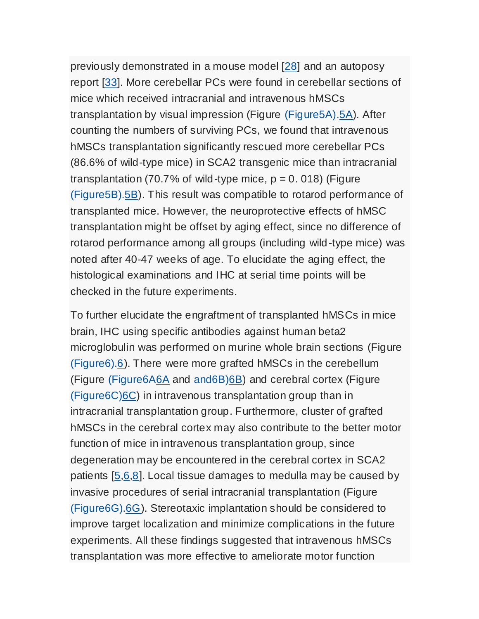previously demonstrated in a mouse model [\[28\]](http://www.ncbi.nlm.nih.gov/pubmed/10973246) and an autoposy report [\[33\]](http://www.ncbi.nlm.nih.gov/pubmed/10090679). More cerebellar PCs were found in cerebellar sections of mice which received intracranial and intravenous hMSCs transplantation by visual impression (Figure [\(Figure5A\).5A\)](http://www.ncbi.nlm.nih.gov/pmc/articles/PMC3174876/figure/F5/). After counting the numbers of surviving PCs, we found that intravenous hMSCs transplantation significantly rescued more cerebellar PCs (86.6% of wild-type mice) in SCA2 transgenic mice than intracranial transplantation (70.7% of wild-type mice,  $p = 0.018$ ) (Figure [\(Figure5B\).5B\)](http://www.ncbi.nlm.nih.gov/pmc/articles/PMC3174876/figure/F5/). This result was compatible to rotarod performance of transplanted mice. However, the neuroprotective effects of hMSC transplantation might be offset by aging effect, since no difference of rotarod performance among all groups (including wild-type mice) was noted after 40-47 weeks of age. To elucidate the aging effect, the histological examinations and IHC at serial time points will be checked in the future experiments.

To further elucidate the engraftment of transplanted hMSCs in mice brain, IHC using specific antibodies against human beta2 microglobulin was performed on murine whole brain sections (Figure [\(Figure6\).6\)](http://www.ncbi.nlm.nih.gov/pmc/articles/PMC3174876/figure/F6/). There were more grafted hMSCs in the cerebellum (Figure [\(Figure6A6A](http://www.ncbi.nlm.nih.gov/pmc/articles/PMC3174876/figure/F6/) and [and6B\)6B\)](http://www.ncbi.nlm.nih.gov/pmc/articles/PMC3174876/figure/F6/) and cerebral cortex (Figure [\(Figure6C\)6C\)](http://www.ncbi.nlm.nih.gov/pmc/articles/PMC3174876/figure/F6/) in intravenous transplantation group than in intracranial transplantation group. Furthermore, cluster of grafted hMSCs in the cerebral cortex may also contribute to the better motor function of mice in intravenous transplantation group, since degeneration may be encountered in the cerebral cortex in SCA2 patients [\[5,](http://www.ncbi.nlm.nih.gov/pubmed/17786457)[6,](http://www.ncbi.nlm.nih.gov/pubmed/15263894)[8\]](http://www.ncbi.nlm.nih.gov/pubmed/18418684). Local tissue damages to medulla may be caused by invasive procedures of serial intracranial transplantation (Figure [\(Figure6G\).6G\)](http://www.ncbi.nlm.nih.gov/pmc/articles/PMC3174876/figure/F6/). Stereotaxic implantation should be considered to improve target localization and minimize complications in the future experiments. All these findings suggested that intravenous hMSCs transplantation was more effective to ameliorate motor function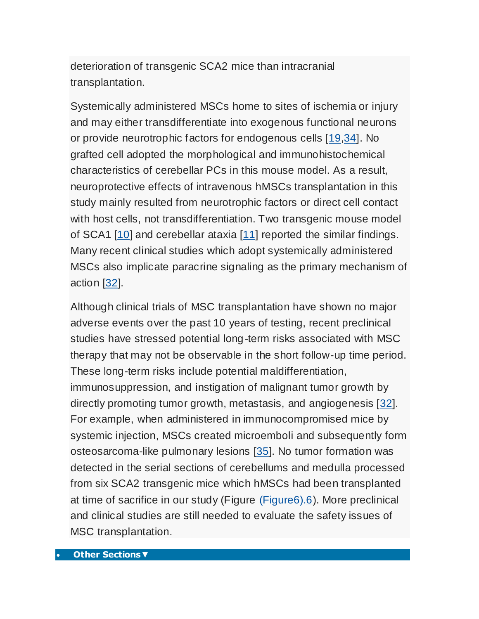deterioration of transgenic SCA2 mice than intracranial transplantation.

Systemically administered MSCs home to sites of ischemia or injury and may either transdifferentiate into exogenous functional neurons or provide neurotrophic factors for endogenous cells [\[19,](http://www.ncbi.nlm.nih.gov/pubmed/20525442)[34\]](http://www.ncbi.nlm.nih.gov/pubmed/19181205). No grafted cell adopted the morphological and immunohistochemical characteristics of cerebellar PCs in this mouse model. As a result, neuroprotective effects of intravenous hMSCs transplantation in this study mainly resulted from neurotrophic factors or direct cell contact with host cells, not transdifferentiation. Two transgenic mouse model of SCA1 [\[10\]](http://www.ncbi.nlm.nih.gov/pubmed/19846700) and cerebellar ataxia [\[11\]](http://www.ncbi.nlm.nih.gov/pubmed/20638477) reported the similar findings. Many recent clinical studies which adopt systemically administered MSCs also implicate paracrine signaling as the primary mechanism of action [\[32\]](http://www.ncbi.nlm.nih.gov/pubmed/20415588).

Although clinical trials of MSC transplantation have shown no major adverse events over the past 10 years of testing, recent preclinical studies have stressed potential long-term risks associated with MSC therapy that may not be observable in the short follow-up time period. These long-term risks include potential maldifferentiation, immunosuppression, and instigation of malignant tumor growth by directly promoting tumor growth, metastasis, and angiogenesis [\[32\]](http://www.ncbi.nlm.nih.gov/pubmed/20415588). For example, when administered in immunocompromised mice by systemic injection, MSCs created microemboli and subsequently form osteosarcoma-like pulmonary lesions [\[35\]](http://www.ncbi.nlm.nih.gov/pubmed/17363552). No tumor formation was detected in the serial sections of cerebellums and medulla processed from six SCA2 transgenic mice which hMSCs had been transplanted at time of sacrifice in our study (Figure [\(Figure6\).6\)](http://www.ncbi.nlm.nih.gov/pmc/articles/PMC3174876/figure/F6/). More preclinical and clinical studies are still needed to evaluate the safety issues of MSC transplantation.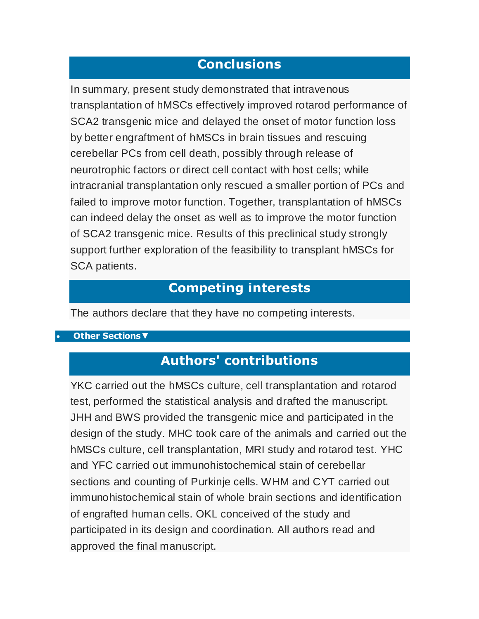### **Conclusions**

In summary, present study demonstrated that intravenous transplantation of hMSCs effectively improved rotarod performance of SCA2 transgenic mice and delayed the onset of motor function loss by better engraftment of hMSCs in brain tissues and rescuing cerebellar PCs from cell death, possibly through release of neurotrophic factors or direct cell contact with host cells; while intracranial transplantation only rescued a smaller portion of PCs and failed to improve motor function. Together, transplantation of hMSCs can indeed delay the onset as well as to improve the motor function of SCA2 transgenic mice. Results of this preclinical study strongly support further exploration of the feasibility to transplant hMSCs for SCA patients.

#### **Competing interests**

The authors declare that they have no competing interests.

#### **[Other Sections](http://www.ncbi.nlm.nih.gov/pmc/articles/PMC3174876/?tool=pubmed)▼**

## **Authors' contributions**

YKC carried out the hMSCs culture, cell transplantation and rotarod test, performed the statistical analysis and drafted the manuscript. JHH and BWS provided the transgenic mice and participated in the design of the study. MHC took care of the animals and carried out the hMSCs culture, cell transplantation, MRI study and rotarod test. YHC and YFC carried out immunohistochemical stain of cerebellar sections and counting of Purkinje cells. WHM and CYT carried out immunohistochemical stain of whole brain sections and identification of engrafted human cells. OKL conceived of the study and participated in its design and coordination. All authors read and approved the final manuscript.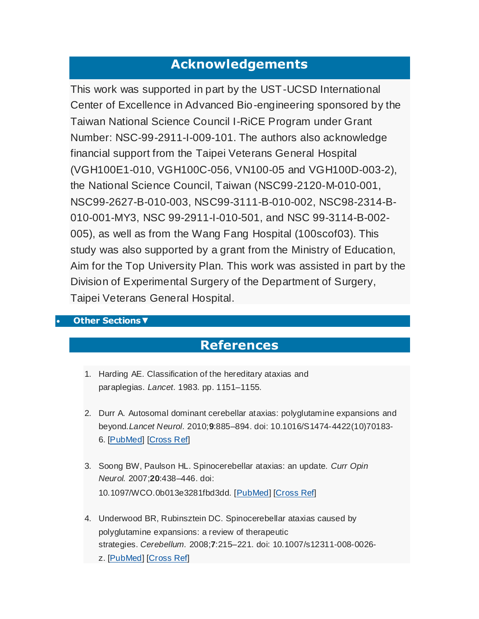### **Acknowledgements**

This work was supported in part by the UST-UCSD International Center of Excellence in Advanced Bio-engineering sponsored by the Taiwan National Science Council I-RiCE Program under Grant Number: NSC-99-2911-I-009-101. The authors also acknowledge financial support from the Taipei Veterans General Hospital (VGH100E1-010, VGH100C-056, VN100-05 and VGH100D-003-2), the National Science Council, Taiwan (NSC99-2120-M-010-001, NSC99-2627-B-010-003, NSC99-3111-B-010-002, NSC98-2314-B-010-001-MY3, NSC 99-2911-I-010-501, and NSC 99-3114-B-002- 005), as well as from the Wang Fang Hospital (100scof03). This study was also supported by a grant from the Ministry of Education, Aim for the Top University Plan. This work was assisted in part by the Division of Experimental Surgery of the Department of Surgery, Taipei Veterans General Hospital.

#### **[Other Sections](http://www.ncbi.nlm.nih.gov/pmc/articles/PMC3174876/?tool=pubmed)▼**

### **References**

- 1. Harding AE. Classification of the hereditary ataxias and paraplegias. *Lancet.* 1983. pp. 1151–1155.
- 2. Durr A. Autosomal dominant cerebellar ataxias: polyglutamine expansions and beyond.*Lancet Neurol.* 2010;**9**:885–894. doi: 10.1016/S1474-4422(10)70183- 6. [\[PubMed\]](http://www.ncbi.nlm.nih.gov/pubmed/20723845) [\[Cross Ref\]](http://dx.crossref.org/10.1016%2FS1474-4422(10)70183-6)
- 3. Soong BW, Paulson HL. Spinocerebellar ataxias: an update. *Curr Opin Neurol.* 2007;**20**:438–446. doi: 10.1097/WCO.0b013e3281fbd3dd. [\[PubMed\]](http://www.ncbi.nlm.nih.gov/pubmed/17620880) [\[Cross Ref\]](http://dx.crossref.org/10.1097%2FWCO.0b013e3281fbd3dd)
- 4. Underwood BR, Rubinsztein DC. Spinocerebellar ataxias caused by polyglutamine expansions: a review of therapeutic strategies. *Cerebellum.* 2008;**7**:215–221. doi: 10.1007/s12311-008-0026 z. [\[PubMed\]](http://www.ncbi.nlm.nih.gov/pubmed/18418676) [\[Cross Ref\]](http://dx.crossref.org/10.1007%2Fs12311-008-0026-z)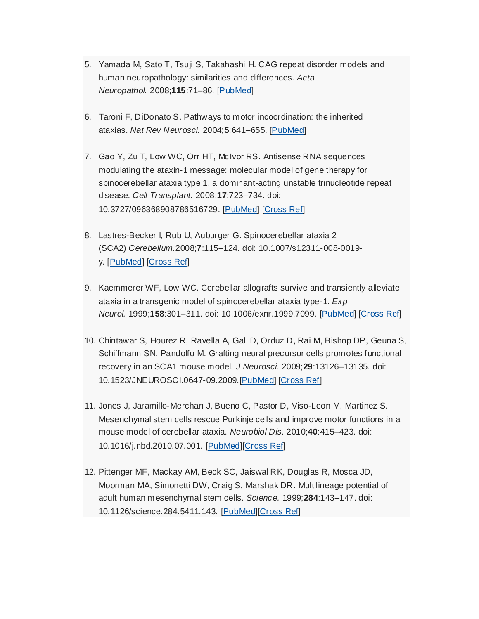- 5. Yamada M, Sato T, Tsuji S, Takahashi H. CAG repeat disorder models and human neuropathology: similarities and differences. *Acta Neuropathol.* 2008;**115**:71–86. [\[PubMed\]](http://www.ncbi.nlm.nih.gov/pubmed/17786457)
- 6. Taroni F, DiDonato S. Pathways to motor incoordination: the inherited ataxias. *Nat Rev Neurosci.* 2004;**5**:641–655. [\[PubMed\]](http://www.ncbi.nlm.nih.gov/pubmed/15263894)
- 7. Gao Y, Zu T, Low WC, Orr HT, McIvor RS. Antisense RNA sequences modulating the ataxin-1 message: molecular model of gene therapy for spinocerebellar ataxia type 1, a dominant-acting unstable trinucleotide repeat disease. *Cell Transplant.* 2008;**17**:723–734. doi: 10.3727/096368908786516729. [\[PubMed\]](http://www.ncbi.nlm.nih.gov/pubmed/19044200) [\[Cross Ref\]](http://dx.crossref.org/10.3727%2F096368908786516729)
- 8. Lastres-Becker I, Rub U, Auburger G. Spinocerebellar ataxia 2 (SCA2) *Cerebellum.*2008;**7**:115–124. doi: 10.1007/s12311-008-0019 y. [\[PubMed\]](http://www.ncbi.nlm.nih.gov/pubmed/18418684) [\[Cross Ref\]](http://dx.crossref.org/10.1007%2Fs12311-008-0019-y)
- 9. Kaemmerer WF, Low WC. Cerebellar allografts survive and transiently alleviate ataxia in a transgenic model of spinocerebellar ataxia type-1. *Exp Neurol.* 1999;**158**:301–311. doi: 10.1006/exnr.1999.7099. [\[PubMed\]](http://www.ncbi.nlm.nih.gov/pubmed/10415138) [\[Cross Ref\]](http://dx.crossref.org/10.1006%2Fexnr.1999.7099)
- 10. Chintawar S, Hourez R, Ravella A, Gall D, Orduz D, Rai M, Bishop DP, Geuna S, Schiffmann SN, Pandolfo M. Grafting neural precursor cells promotes functional recovery in an SCA1 mouse model. *J Neurosci.* 2009;**29**:13126–13135. doi: 10.1523/JNEUROSCI.0647-09.2009.[\[PubMed\]](http://www.ncbi.nlm.nih.gov/pubmed/19846700) [\[Cross Ref\]](http://dx.crossref.org/10.1523%2FJNEUROSCI.0647-09.2009)
- 11. Jones J, Jaramillo-Merchan J, Bueno C, Pastor D, Viso-Leon M, Martinez S. Mesenchymal stem cells rescue Purkinje cells and improve motor functions in a mouse model of cerebellar ataxia. *Neurobiol Dis.* 2010;**40**:415–423. doi: 10.1016/j.nbd.2010.07.001. [\[PubMed\]](http://www.ncbi.nlm.nih.gov/pubmed/20638477)[\[Cross Ref\]](http://dx.crossref.org/10.1016%2Fj.nbd.2010.07.001)
- 12. Pittenger MF, Mackay AM, Beck SC, Jaiswal RK, Douglas R, Mosca JD, Moorman MA, Simonetti DW, Craig S, Marshak DR. Multilineage potential of adult human mesenchymal stem cells. *Science.* 1999;**284**:143–147. doi: 10.1126/science.284.5411.143. [\[PubMed\]](http://www.ncbi.nlm.nih.gov/pubmed/10102814)[\[Cross Ref\]](http://dx.crossref.org/10.1126%2Fscience.284.5411.143)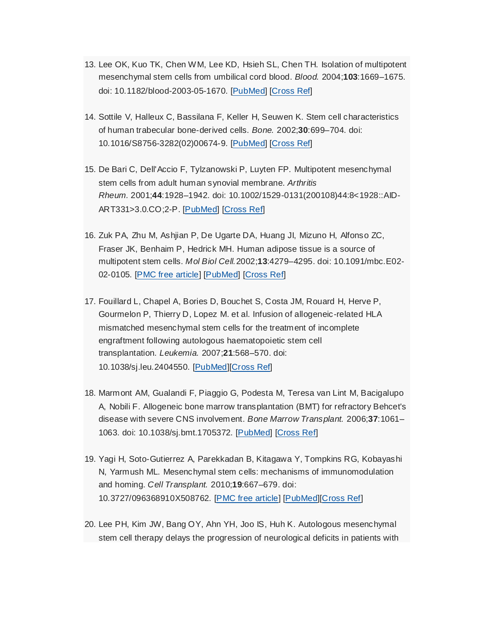- 13. Lee OK, Kuo TK, Chen WM, Lee KD, Hsieh SL, Chen TH. Isolation of multipotent mesenchymal stem cells from umbilical cord blood. *Blood.* 2004;**103**:1669–1675. doi: 10.1182/blood-2003-05-1670. [\[PubMed\]](http://www.ncbi.nlm.nih.gov/pubmed/14576065) [\[Cross Ref\]](http://dx.crossref.org/10.1182%2Fblood-2003-05-1670)
- 14. Sottile V, Halleux C, Bassilana F, Keller H, Seuwen K. Stem cell characteristics of human trabecular bone-derived cells. *Bone.* 2002;**30**:699–704. doi: 10.1016/S8756-3282(02)00674-9. [\[PubMed\]](http://www.ncbi.nlm.nih.gov/pubmed/11996907) [\[Cross Ref\]](http://dx.crossref.org/10.1016%2FS8756-3282(02)00674-9)
- 15. De Bari C, Dell'Accio F, Tylzanowski P, Luyten FP. Multipotent mesenchymal stem cells from adult human synovial membrane. *Arthritis Rheum.* 2001;**44**:1928–1942. doi: 10.1002/1529-0131(200108)44:8<1928::AID-ART331>3.0.CO;2-P. [\[PubMed\]](http://www.ncbi.nlm.nih.gov/pubmed/11508446) [\[Cross Ref\]](http://dx.crossref.org/10.1002%2F1529-0131(200108)44%3A8%3C1928%3A%3AAID-ART331%3E3.0.CO%3B2-P)
- 16. Zuk PA, Zhu M, Ashjian P, De Ugarte DA, Huang JI, Mizuno H, Alfonso ZC, Fraser JK, Benhaim P, Hedrick MH. Human adipose tissue is a source of multipotent stem cells. *Mol Biol Cell.*2002;**13**:4279–4295. doi: 10.1091/mbc.E02- 02-0105. [\[PMC free article\]](http://www.ncbi.nlm.nih.gov/pmc/articles/PMC138633/) [\[PubMed\]](http://www.ncbi.nlm.nih.gov/pubmed/12475952) [\[Cross Ref\]](http://dx.crossref.org/10.1091%2Fmbc.E02-02-0105)
- 17. Fouillard L, Chapel A, Bories D, Bouchet S, Costa JM, Rouard H, Herve P, Gourmelon P, Thierry D, Lopez M. et al. Infusion of allogeneic-related HLA mismatched mesenchymal stem cells for the treatment of incomplete engraftment following autologous haematopoietic stem cell transplantation. *Leukemia.* 2007;**21**:568–570. doi: 10.1038/sj.leu.2404550. [\[PubMed\]](http://www.ncbi.nlm.nih.gov/pubmed/17252011)[\[Cross Ref\]](http://dx.crossref.org/10.1038%2Fsj.leu.2404550)
- 18. Marmont AM, Gualandi F, Piaggio G, Podesta M, Teresa van Lint M, Bacigalupo A, Nobili F. Allogeneic bone marrow transplantation (BMT) for refractory Behcet's disease with severe CNS involvement. *Bone Marrow Transplant.* 2006;**37**:1061– 1063. doi: 10.1038/sj.bmt.1705372. [\[PubMed\]](http://www.ncbi.nlm.nih.gov/pubmed/16633360) [\[Cross Ref\]](http://dx.crossref.org/10.1038%2Fsj.bmt.1705372)
- 19. Yagi H, Soto-Gutierrez A, Parekkadan B, Kitagawa Y, Tompkins RG, Kobayashi N, Yarmush ML. Mesenchymal stem cells: mechanisms of immunomodulation and homing. *Cell Transplant.* 2010;**19**:667–679. doi: 10.3727/096368910X508762. [\[PMC free article\]](http://www.ncbi.nlm.nih.gov/pmc/articles/PMC2957533/) [\[PubMed\]](http://www.ncbi.nlm.nih.gov/pubmed/20525442)[\[Cross Ref\]](http://dx.crossref.org/10.3727%2F096368910X508762)
- 20. Lee PH, Kim JW, Bang OY, Ahn YH, Joo IS, Huh K. Autologous mesenchymal stem cell therapy delays the progression of neurological deficits in patients with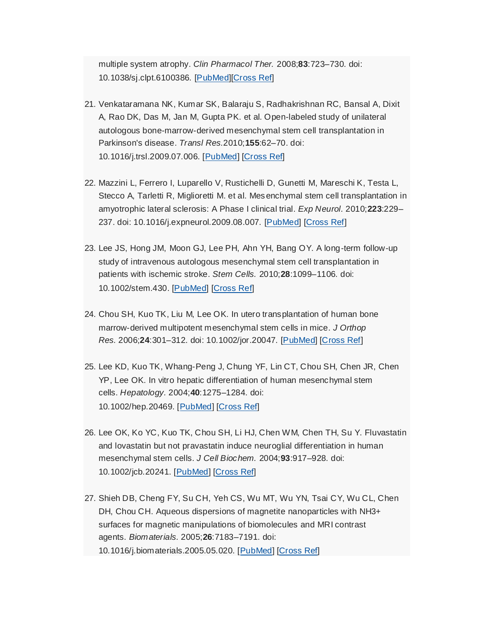multiple system atrophy. *Clin Pharmacol Ther.* 2008;**83**:723–730. doi: 10.1038/sj.clpt.6100386. [\[PubMed\]](http://www.ncbi.nlm.nih.gov/pubmed/17898702)[\[Cross Ref\]](http://dx.crossref.org/10.1038%2Fsj.clpt.6100386)

- 21. Venkataramana NK, Kumar SK, Balaraju S, Radhakrishnan RC, Bansal A, Dixit A, Rao DK, Das M, Jan M, Gupta PK. et al. Open-labeled study of unilateral autologous bone-marrow-derived mesenchymal stem cell transplantation in Parkinson's disease. *Transl Res.*2010;**155**:62–70. doi: 10.1016/j.trsl.2009.07.006. [\[PubMed\]](http://www.ncbi.nlm.nih.gov/pubmed/20129486) [\[Cross Ref\]](http://dx.crossref.org/10.1016%2Fj.trsl.2009.07.006)
- 22. Mazzini L, Ferrero I, Luparello V, Rustichelli D, Gunetti M, Mareschi K, Testa L, Stecco A, Tarletti R, Miglioretti M. et al. Mes enchymal stem cell transplantation in amyotrophic lateral sclerosis: A Phase I clinical trial. *Exp Neurol.* 2010;**223**:229– 237. doi: 10.1016/j.expneurol.2009.08.007. [\[PubMed\]](http://www.ncbi.nlm.nih.gov/pubmed/19682989) [\[Cross Ref\]](http://dx.crossref.org/10.1016%2Fj.expneurol.2009.08.007)
- 23. Lee JS, Hong JM, Moon GJ, Lee PH, Ahn YH, Bang OY. A long-term follow-up study of intravenous autologous mesenchymal stem cell transplantation in patients with ischemic stroke. *Stem Cells.* 2010;**28**:1099–1106. doi: 10.1002/stem.430. [\[PubMed\]](http://www.ncbi.nlm.nih.gov/pubmed/20506226) [\[Cross Ref\]](http://dx.crossref.org/10.1002%2Fstem.430)
- 24. Chou SH, Kuo TK, Liu M, Lee OK. In utero transplantation of human bone marrow-derived multipotent mesenchymal stem cells in mice. *J Orthop Res.* 2006;**24**:301–312. doi: 10.1002/jor.20047. [\[PubMed\]](http://www.ncbi.nlm.nih.gov/pubmed/16482576) [\[Cross Ref\]](http://dx.crossref.org/10.1002%2Fjor.20047)
- 25. Lee KD, Kuo TK, Whang-Peng J, Chung YF, Lin CT, Chou SH, Chen JR, Chen YP, Lee OK. In vitro hepatic differentiation of human mesenchymal stem cells. *Hepatology.* 2004;**40**:1275–1284. doi: 10.1002/hep.20469. [\[PubMed\]](http://www.ncbi.nlm.nih.gov/pubmed/15562440) [\[Cross Ref\]](http://dx.crossref.org/10.1002%2Fhep.20469)
- 26. Lee OK, Ko YC, Kuo TK, Chou SH, Li HJ, Chen WM, Chen TH, Su Y. Fluvastatin and lovastatin but not pravastatin induce neuroglial differentiation in human mesenchymal stem cells. *J Cell Biochem.* 2004;**93**:917–928. doi: 10.1002/jcb.20241. [\[PubMed\]](http://www.ncbi.nlm.nih.gov/pubmed/15389871) [\[Cross Ref\]](http://dx.crossref.org/10.1002%2Fjcb.20241)
- 27. Shieh DB, Cheng FY, Su CH, Yeh CS, Wu MT, Wu YN, Tsai CY, Wu CL, Chen DH, Chou CH. Aqueous dispersions of magnetite nanoparticles with NH3+ surfaces for magnetic manipulations of biomolecules and MRI contrast agents. *Biomaterials.* 2005;**26**:7183–7191. doi: 10.1016/j.biomaterials.2005.05.020. [\[PubMed\]](http://www.ncbi.nlm.nih.gov/pubmed/15964622) [\[Cross Ref\]](http://dx.crossref.org/10.1016%2Fj.biomaterials.2005.05.020)